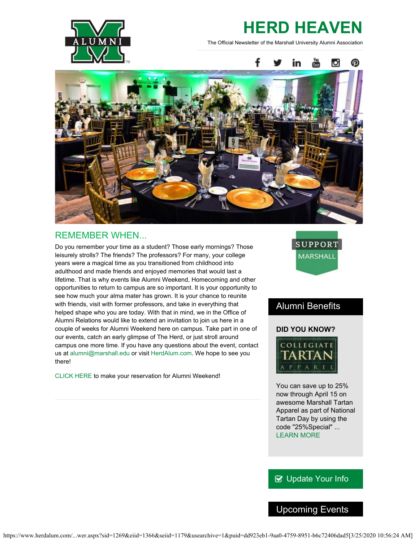

# **HERD HEAVEN**

The Official Newsletter of the Marshall University Alumni Association



# REMEMBER WHEN...

Do you remember your time as a student? Those early mornings? Those leisurely strolls? The friends? The professors? For many, your college years were a magical time as you transitioned from childhood into adulthood and made friends and enjoyed memories that would last a lifetime. That is why events like Alumni Weekend, Homecoming and other opportunities to return to campus are so important. It is your opportunity to see how much your alma mater has grown. It is your chance to reunite with friends, visit with former professors, and take in everything that helped shape who you are today. With that in mind, we in the Office of Alumni Relations would like to extend an invitation to join us here in a couple of weeks for Alumni Weekend here on campus. Take part in one of our events, catch an early glimpse of The Herd, or just stroll around campus one more time. If you have any questions about the event, contact us at [alumni@marshall.edu](mailto:alumni@marshall.edu) or visit [HerdAlum.com](http://www.herdalum.com/s/1269/start.aspx). We hope to see you there!

[CLICK HERE](https://securelb.imodules.com/s/1269/index.aspx?sid=1269&gid=1&pgid=1048) to make your reservation for Alumni Weekend!



# Alumni Benefits

#### **DID YOU KNOW?**



You can save up to 25% now through April 15 on awesome Marshall Tartan Apparel as part of National Tartan Day by using the code "25%Special" ... [LEARN MORE](http://www.collegiatetartan.com/category-s/1830.htm)

### **B** [Update Your Info](http://www.herdalum.com/s/1269/index.aspx?sid=1269&gid=1&pgid=6&cid=41#/Search/Simple)

# Upcoming Events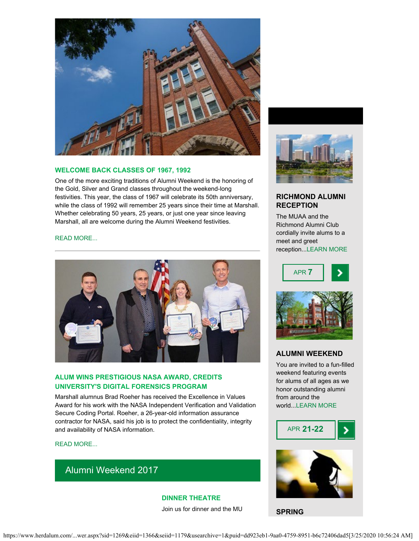

#### **WELCOME BACK CLASSES OF 1967, 1992**

One of the more exciting traditions of Alumni Weekend is the honoring of the Gold, Silver and Grand classes throughout the weekend-long festivities. This year, the class of 1967 will celebrate its 50th anniversary, while the class of 1992 will remember 25 years since their time at Marshall. Whether celebrating 50 years, 25 years, or just one year since leaving Marshall, all are welcome during the Alumni Weekend festivities.

#### [READ MORE...](http://www.herdalum.com/s/1269/index.aspx?sid=1269&gid=1&pgid=429)



#### **ALUM WINS PRESTIGIOUS NASA AWARD, CREDITS UNIVERSITY'S DIGITAL FORENSICS PROGRAM**

Marshall alumnus Brad Roeher has received the Excellence in Values Award for his work with the NASA Independent Verification and Validation Secure Coding Portal. Roeher, a 26-year-old information assurance contractor for NASA, said his job is to protect the confidentiality, integrity and availability of NASA information.

#### [READ MORE...](https://www.marshall.edu/ucomm/2017/03/21/marshall-alum-wins-prestigious-nasa-award-credits-universitys-digital-forensics-program-success/)

# Alumni Weekend 2017

**DINNER THEATRE** Join us for dinner and the MU



#### **RICHMOND ALUMNI RECEPTION**

The MUAA and the Richmond Alumni Club cordially invite alums to a meet and greet reception..[.LEARN MORE](https://www.facebook.com/events/279402862473249/)





#### **ALUMNI WEEKEND**

You are invited to a fun-filled weekend featuring events for alums of all ages as we honor outstanding alumni from around the world..[.LEARN MORE](http://www.herdalum.com/s/1269/index.aspx?sid=1269&gid=1&pgid=429)





**SPRING**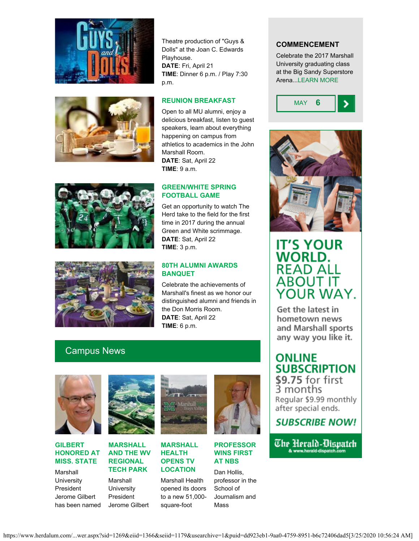



Theatre production of "Guys & Dolls" at the Joan C. Edwards Playhouse. **DATE**: Fri, April 21 **TIME**: Dinner 6 p.m. / Play 7:30 p.m.

#### **REUNION BREAKFAST**

Open to all MU alumni, enjoy a delicious breakfast, listen to guest speakers, learn about everything happening on campus from athletics to academics in the John Marshall Room. **DATE**: Sat, April 22 **TIME**: 9 a.m.

#### **GREEN/WHITE SPRING FOOTBALL GAME**



Get an opportunity to watch The Herd take to the field for the first time in 2017 during the annual Green and White scrimmage. **DATE**: Sat, April 22 **TIME**: 3 p.m.

#### **80TH ALUMNI AWARDS BANQUET**

Celebrate the achievements of Marshall's finest as we honor our distinguished alumni and friends in the Don Morris Room. **DATE**: Sat, April 22 **TIME**: 6 p.m.

# Campus News



#### **GILBERT HONORED AT MISS. STATE**

Marshall **University President** Jerome Gilbert has been named



#### **MARSHALL AND THE WV REGIONAL TECH PARK**

Marshall **University** President Jerome Gilbert



**MARSHALL HEALTH OPENS TV LOCATION**

Marshall Health opened its doors to a new 51,000 square-foot



**PROFESSOR WINS FIRST AT NBS**

Dan Hollis, professor in the School of Journalism and Mass

#### **COMMENCEMENT**

Celebrate the 2017 Marshall University graduating class at the Big Sandy Superstore Arena..[.LEARN MORE](http://www.marshall.edu/commencement/)





# **IT'S YOUR WORLD. READ ALL ABOUT IT** YOUR WAY.

Get the latest in hometown news and Marshall sports any way you like it.

# **ONLINE SUBSCRIPTION** \$9.75 for first

3 months Regular \$9.99 monthly after special ends.

# **SUBSCRIBE NOW!**

The Herald-Disnatch & www.herald-dispatch.com